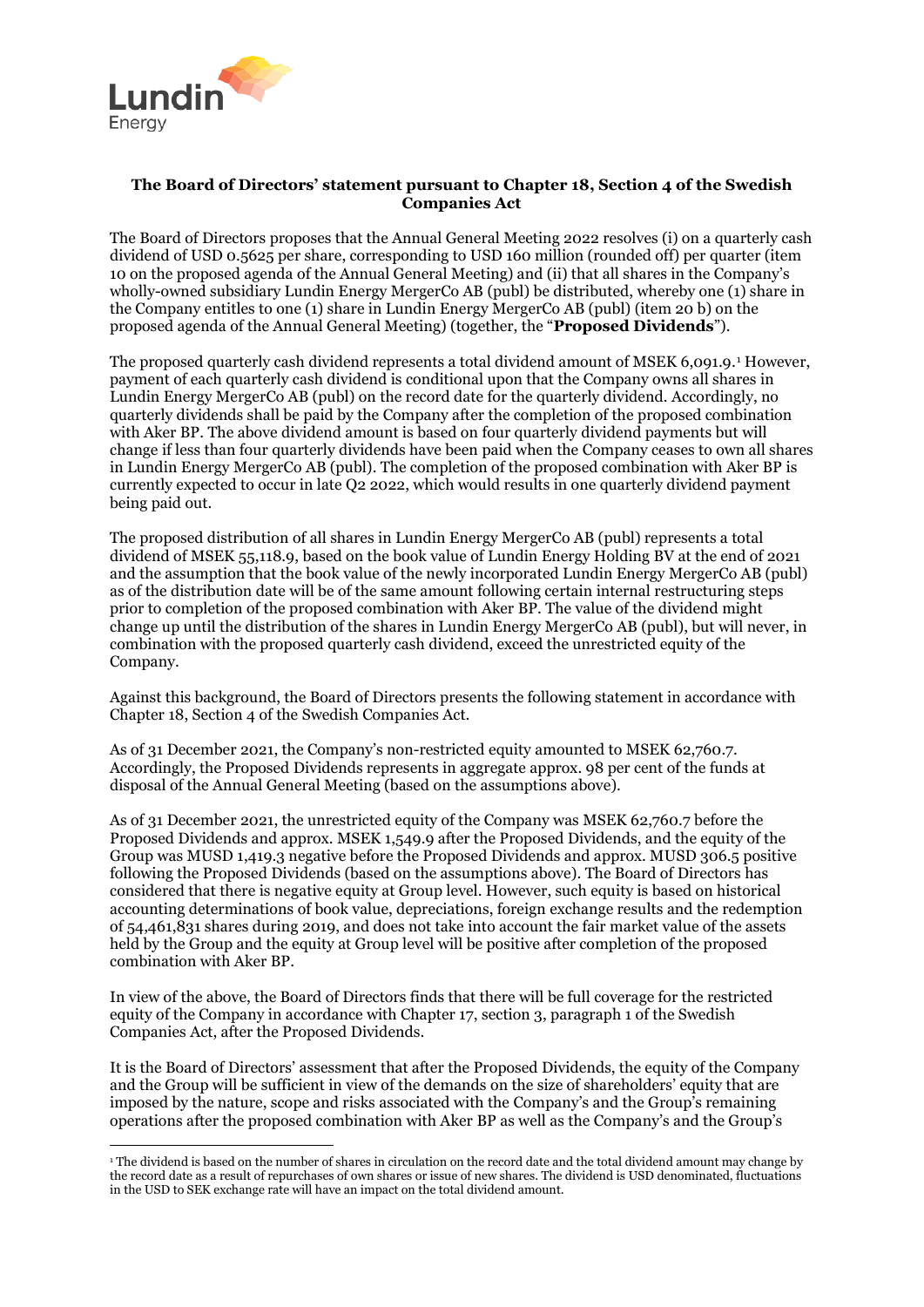

 $\overline{a}$ 

## **The Board of Directors' statement pursuant to Chapter 18, Section 4 of the Swedish Companies Act**

The Board of Directors proposes that the Annual General Meeting 2022 resolves (i) on a quarterly cash dividend of USD 0.5625 per share, corresponding to USD 160 million (rounded off) per quarter (item 10 on the proposed agenda of the Annual General Meeting) and (ii) that all shares in the Company's wholly-owned subsidiary Lundin Energy MergerCo AB (publ) be distributed, whereby one (1) share in the Company entitles to one (1) share in Lundin Energy MergerCo AB (publ) (item 20 b) on the proposed agenda of the Annual General Meeting) (together, the "**Proposed Dividends**").

The proposed quarterly cash dividend represents a total dividend amount of MSEK 6,091.9.[1](#page-0-0) However, payment of each quarterly cash dividend is conditional upon that the Company owns all shares in Lundin Energy MergerCo AB (publ) on the record date for the quarterly dividend. Accordingly, no quarterly dividends shall be paid by the Company after the completion of the proposed combination with Aker BP. The above dividend amount is based on four quarterly dividend payments but will change if less than four quarterly dividends have been paid when the Company ceases to own all shares in Lundin Energy MergerCo AB (publ). The completion of the proposed combination with Aker BP is currently expected to occur in late Q2 2022, which would results in one quarterly dividend payment being paid out.

The proposed distribution of all shares in Lundin Energy MergerCo AB (publ) represents a total dividend of MSEK 55,118.9, based on the book value of Lundin Energy Holding BV at the end of 2021 and the assumption that the book value of the newly incorporated Lundin Energy MergerCo AB (publ) as of the distribution date will be of the same amount following certain internal restructuring steps prior to completion of the proposed combination with Aker BP. The value of the dividend might change up until the distribution of the shares in Lundin Energy MergerCo AB (publ), but will never, in combination with the proposed quarterly cash dividend, exceed the unrestricted equity of the Company.

Against this background, the Board of Directors presents the following statement in accordance with Chapter 18, Section 4 of the Swedish Companies Act.

As of 31 December 2021, the Company's non-restricted equity amounted to MSEK 62,760.7. Accordingly, the Proposed Dividends represents in aggregate approx. 98 per cent of the funds at disposal of the Annual General Meeting (based on the assumptions above).

As of 31 December 2021, the unrestricted equity of the Company was MSEK 62,760.7 before the Proposed Dividends and approx. MSEK 1,549.9 after the Proposed Dividends, and the equity of the Group was MUSD 1,419.3 negative before the Proposed Dividends and approx. MUSD 306.5 positive following the Proposed Dividends (based on the assumptions above). The Board of Directors has considered that there is negative equity at Group level. However, such equity is based on historical accounting determinations of book value, depreciations, foreign exchange results and the redemption of 54,461,831 shares during 2019, and does not take into account the fair market value of the assets held by the Group and the equity at Group level will be positive after completion of the proposed combination with Aker BP.

In view of the above, the Board of Directors finds that there will be full coverage for the restricted equity of the Company in accordance with Chapter 17, section 3, paragraph 1 of the Swedish Companies Act, after the Proposed Dividends.

It is the Board of Directors' assessment that after the Proposed Dividends, the equity of the Company and the Group will be sufficient in view of the demands on the size of shareholders' equity that are imposed by the nature, scope and risks associated with the Company's and the Group's remaining operations after the proposed combination with Aker BP as well as the Company's and the Group's

<span id="page-0-0"></span><sup>&</sup>lt;sup>1</sup> The dividend is based on the number of shares in circulation on the record date and the total dividend amount may change by the record date as a result of repurchases of own shares or issue of new shares. The dividend is USD denominated, fluctuations in the USD to SEK exchange rate will have an impact on the total dividend amount.